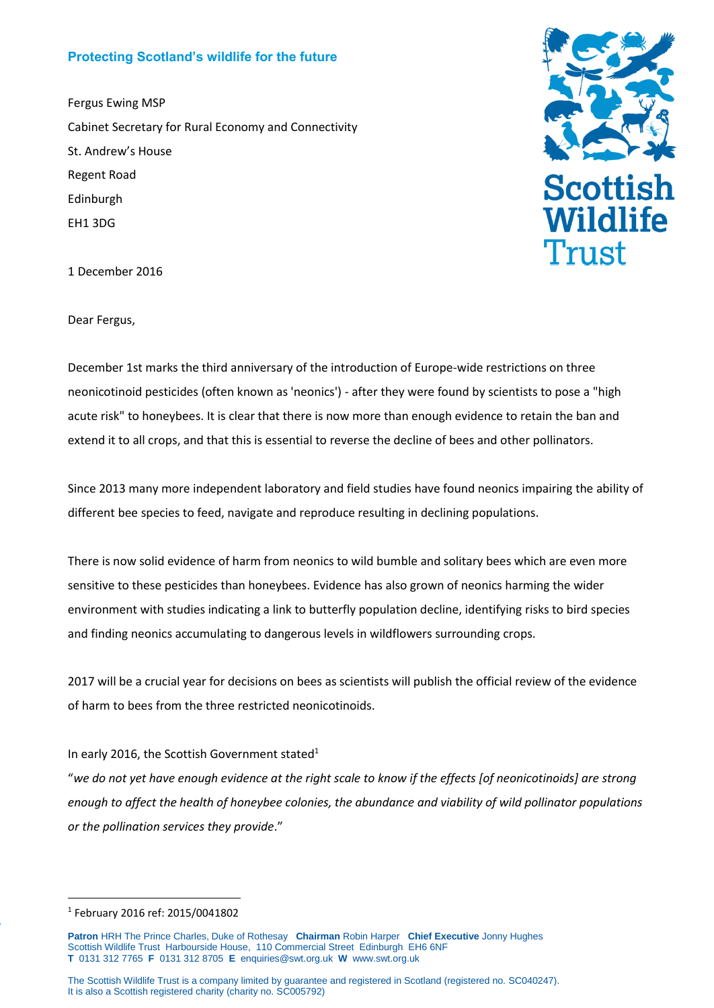## **Protecting Scotland's wildlife for the future**

Fergus Ewing MSP Cabinet Secretary for Rural Economy and Connectivity St. Andrew's House Regent Road Edinburgh EH1 3DG



1 December 2016

Dear Fergus,

December 1st marks the third anniversary of the introduction of Europe-wide restrictions on three neonicotinoid pesticides (often known as 'neonics') - after they were found by scientists to pose a "high acute risk" to honeybees. It is clear that there is now more than enough evidence to retain the ban and extend it to all crops, and that this is essential to reverse the decline of bees and other pollinators.

Since 2013 many more independent laboratory and field studies have found neonics impairing the ability of different bee species to feed, navigate and reproduce resulting in declining populations.

There is now solid evidence of harm from neonics to wild bumble and solitary bees which are even more sensitive to these pesticides than honeybees. Evidence has also grown of neonics harming the wider environment with studies indicating a link to butterfly population decline, identifying risks to bird species and finding neonics accumulating to dangerous levels in wildflowers surrounding crops.

2017 will be a crucial year for decisions on bees as scientists will publish the official review of the evidence of harm to bees from the three restricted neonicotinoids.

## In early 2016, the Scottish Government stated<sup>1</sup>

"*we do not yet have enough evidence at the right scale to know if the effects [of neonicotinoids] are strong enough to affect the health of honeybee colonies, the abundance and viability of wild pollinator populations or the pollination services they provide*."

PaP

1

<sup>1</sup> February 2016 ref: 2015/0041802

**Patron** HRH The Prince Charles, Duke of Rothesay **Chairman** Robin Harper **Chief Executive** Jonny Hughes Scottish Wildlife Trust Harbourside House, 110 Commercial Street Edinburgh EH6 6NF **T** 0131 312 7765 **F** 0131 312 8705 **E** [enquiries@swt.org.uk](mailto:enquiries@swt.org.uk) **W** [www.swt.org.uk](http://www.swt.org.uk/)

The Scottish Wildlife Trust is a company limited by guarantee and registered in Scotland (registered no. SC040247). It is also a Scottish registered charity (charity no. SC005792)